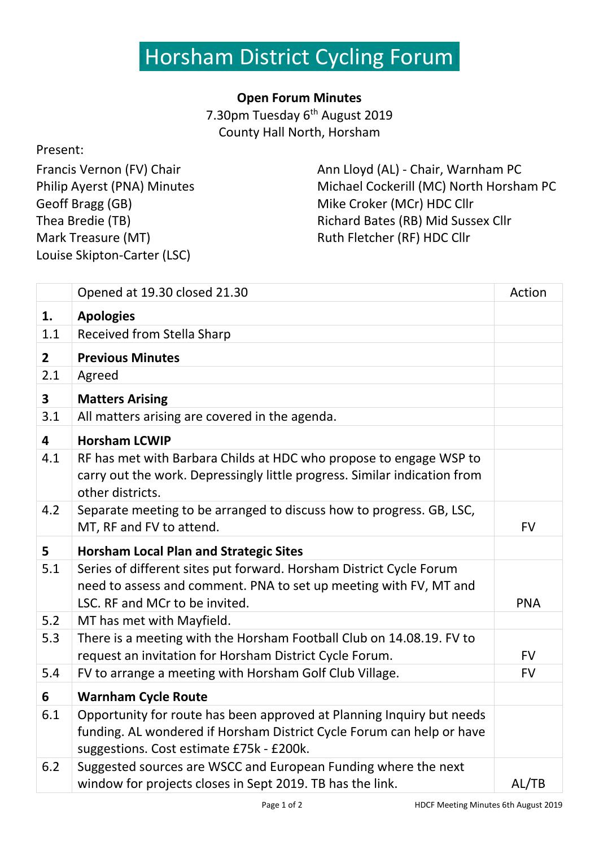## Horsham District Cycling Forum

## **Open Forum Minutes**

7.30pm Tuesday 6<sup>th</sup> August 2019 County Hall North, Horsham

## Present:

Francis Vernon (FV) Chair Philip Ayerst (PNA) Minutes Geoff Bragg (GB) Thea Bredie (TB) Mark Treasure (MT) Louise Skipton-Carter (LSC)

Ann Lloyd (AL) - Chair, Warnham PC Michael Cockerill (MC) North Horsham PC Mike Croker (MCr) HDC Cllr Richard Bates (RB) Mid Sussex Cllr Ruth Fletcher (RF) HDC Cllr

|                         | Opened at 19.30 closed 21.30                                                                                                                                                               | Action     |
|-------------------------|--------------------------------------------------------------------------------------------------------------------------------------------------------------------------------------------|------------|
| 1.                      | <b>Apologies</b>                                                                                                                                                                           |            |
| 1.1                     | Received from Stella Sharp                                                                                                                                                                 |            |
| 2 <sup>1</sup>          | <b>Previous Minutes</b>                                                                                                                                                                    |            |
| 2.1                     | Agreed                                                                                                                                                                                     |            |
| $\overline{\mathbf{3}}$ | <b>Matters Arising</b>                                                                                                                                                                     |            |
| 3.1                     | All matters arising are covered in the agenda.                                                                                                                                             |            |
| 4                       | <b>Horsham LCWIP</b>                                                                                                                                                                       |            |
| 4.1                     | RF has met with Barbara Childs at HDC who propose to engage WSP to<br>carry out the work. Depressingly little progress. Similar indication from<br>other districts.                        |            |
| 4.2                     | Separate meeting to be arranged to discuss how to progress. GB, LSC,<br>MT, RF and FV to attend.                                                                                           | <b>FV</b>  |
| 5                       | <b>Horsham Local Plan and Strategic Sites</b>                                                                                                                                              |            |
| 5.1                     | Series of different sites put forward. Horsham District Cycle Forum<br>need to assess and comment. PNA to set up meeting with FV, MT and<br>LSC. RF and MCr to be invited.                 | <b>PNA</b> |
| 5.2                     | MT has met with Mayfield.                                                                                                                                                                  |            |
| 5.3                     | There is a meeting with the Horsham Football Club on 14.08.19. FV to<br>request an invitation for Horsham District Cycle Forum.                                                            | <b>FV</b>  |
| 5.4                     | FV to arrange a meeting with Horsham Golf Club Village.                                                                                                                                    | <b>FV</b>  |
| 6                       | <b>Warnham Cycle Route</b>                                                                                                                                                                 |            |
| 6.1                     | Opportunity for route has been approved at Planning Inquiry but needs<br>funding. AL wondered if Horsham District Cycle Forum can help or have<br>suggestions. Cost estimate £75k - £200k. |            |
| 6.2                     | Suggested sources are WSCC and European Funding where the next<br>window for projects closes in Sept 2019. TB has the link.                                                                | AL/TB      |